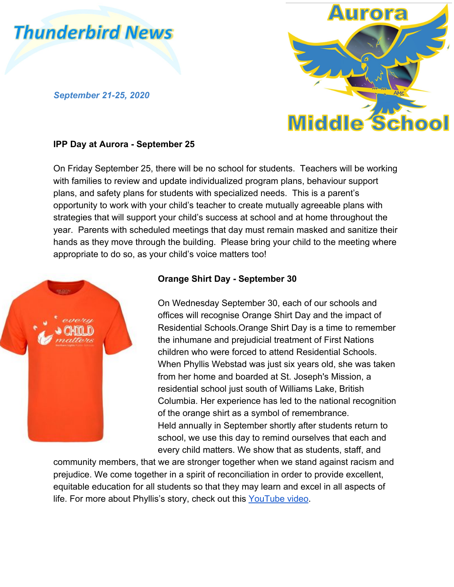

*September 21-25, 2020*



#### **IPP Day at Aurora - September 25**

On Friday September 25, there will be no school for students. Teachers will be working with families to review and update individualized program plans, behaviour support plans, and safety plans for students with specialized needs. This is a parent's opportunity to work with your child's teacher to create mutually agreeable plans with strategies that will support your child's success at school and at home throughout the year. Parents with scheduled meetings that day must remain masked and sanitize their hands as they move through the building. Please bring your child to the meeting where appropriate to do so, as your child's voice matters too!



# **Orange Shirt Day - September 30**

On Wednesday September 30, each of our schools and offices will recognise Orange Shirt Day and the impact of Residential Schools.Orange Shirt Day is a time to remember the inhumane and prejudicial treatment of First Nations children who were forced to attend Residential Schools. When Phyllis Webstad was just six years old, she was taken from her home and boarded at St. Joseph's Mission, a residential school just south of Williams Lake, British Columbia. Her experience has led to the national recognition of the orange shirt as a symbol of remembrance. Held annually in September shortly after students return to school, we use this day to remind ourselves that each and every child matters. We show that as students, staff, and

community members, that we are stronger together when we stand against racism and prejudice. We come together in a spirit of reconciliation in order to provide excellent, equitable education for all students so that they may learn and excel in all aspects of life. For more about Phyllis's story, check out this [YouTube video](https://www.youtube.com/watch?v=ll1pUrK29MM&feature=youtu.be).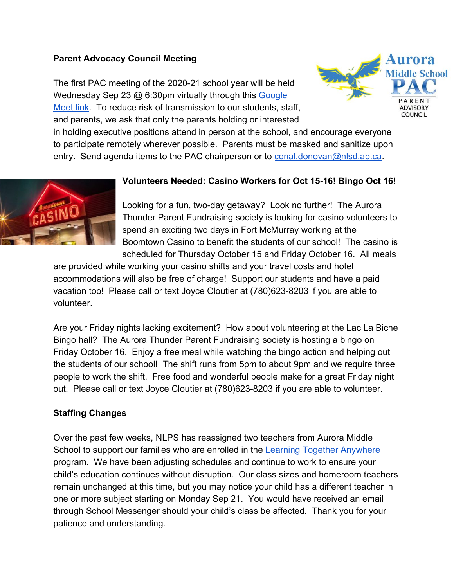# **Parent Advocacy Council Meeting**

The first PAC meeting of the 2020-21 school year will be held Wednesday Sep 23 @ 6:30pm virtually through this [Google](http://meet.google.com/efk-xpcq-xew) [Meet link](http://meet.google.com/efk-xpcq-xew). To reduce risk of transmission to our students, staff, and parents, we ask that only the parents holding or interested



in holding executive positions attend in person at the school, and encourage everyone to participate remotely wherever possible. Parents must be masked and sanitize upon entry. Send agenda items to the PAC chairperson or to [conal.donovan@nlsd.ab.ca](mailto:conal.donovan@nlsd.ab.ca).



### **Volunteers Needed: Casino Workers for Oct 15-16! Bingo Oct 16!**

Looking for a fun, two-day getaway? Look no further! The Aurora Thunder Parent Fundraising society is looking for casino volunteers to spend an exciting two days in Fort McMurray working at the Boomtown Casino to benefit the students of our school! The casino is scheduled for Thursday October 15 and Friday October 16. All meals

are provided while working your casino shifts and your travel costs and hotel accommodations will also be free of charge! Support our students and have a paid vacation too! Please call or text Joyce Cloutier at (780)623-8203 if you are able to volunteer.

Are your Friday nights lacking excitement? How about volunteering at the Lac La Biche Bingo hall? The Aurora Thunder Parent Fundraising society is hosting a bingo on Friday October 16. Enjoy a free meal while watching the bingo action and helping out the students of our school! The shift runs from 5pm to about 9pm and we require three people to work the shift. Free food and wonderful people make for a great Friday night out. Please call or text Joyce Cloutier at (780)623-8203 if you are able to volunteer.

# **Staffing Changes**

Over the past few weeks, NLPS has reassigned two teachers from Aurora Middle School to support our families who are enrolled in the [Learning Together Anywhere](https://www.nlpsab.ca/programs/learning-together-anywhere) program. We have been adjusting schedules and continue to work to ensure your child's education continues without disruption. Our class sizes and homeroom teachers remain unchanged at this time, but you may notice your child has a different teacher in one or more subject starting on Monday Sep 21. You would have received an email through School Messenger should your child's class be affected. Thank you for your patience and understanding.